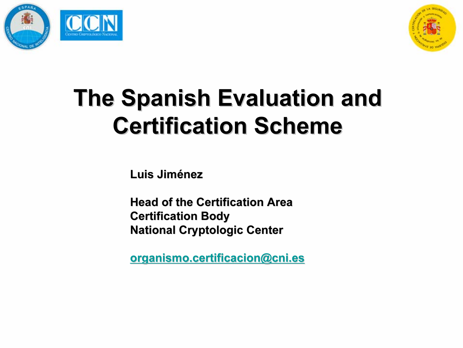



# The Spanish Evaluation and **Certification Scheme**

Luis Jiménez

Head of the Certification Area **Certification Body National Cryptologic Center** 

<u>organismo.certificacion@cni.es</u>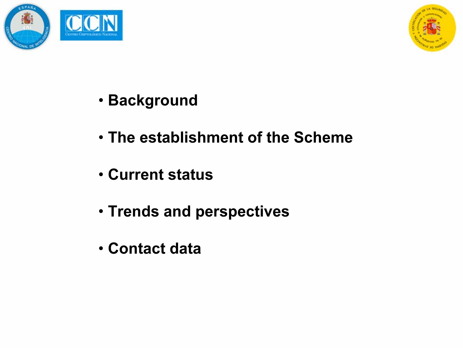



- Background
- The establishment of the Scheme
- Current status
- Trends and perspectives
- Contact data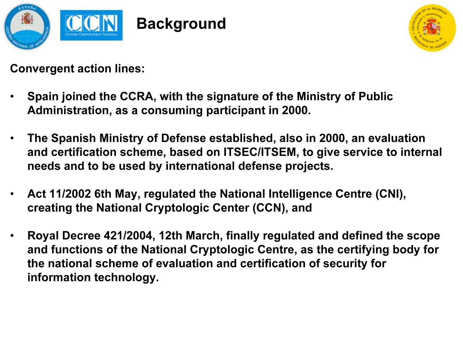



Convergent action lines:

- • Spain joined the CCRA, with the signature of the Ministry of Public Administration, as a consuming participant in 2000.
- • The Spanish Ministry of Defense established, also in 2000, an evaluation and certification scheme, based on ITSEC/ITSEM, to give service to internal needs and to be used by international defense projects.
- • Act 11/2002 6th May, regulated the National Intelligence Centre (CNI), creating the National Cryptologic Center (CCN), and
- • Royal Decree 421/2004, 12th March, finally regulated and defined the scope and functions of the National Cryptologic Centre, as the certifying body for the national scheme of evaluation and certification of security for information technology.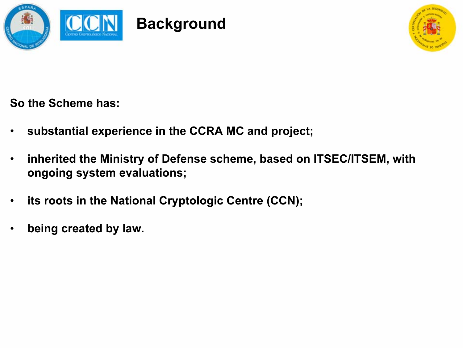



So the Scheme has:

- •substantial experience in the CCRA MC and project;
- • inherited the Ministry of Defense scheme, based on ITSEC/ITSEM, with ongoing system evaluations;
- •its roots in the National Cryptologic Centre (CCN);
- •being created by law.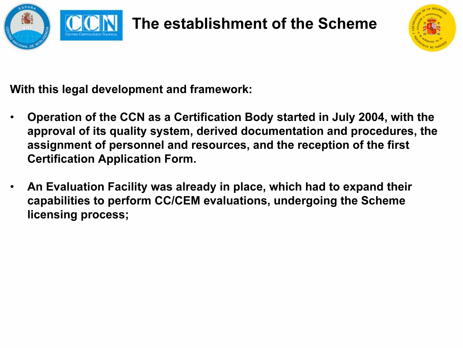

## The establishment of the Scheme



With this legal development and framework:

- • Operation of the CCN as a Certification Body started in July 2004, with the approval of its quality system, derived documentation and procedures, the assignment of personnel and resources, and the reception of the first Certification Application Form.
- • An Evaluation Facility was already in place, which had to expand their capabilities to perform CC/CEM evaluations, undergoing the Scheme licensing process;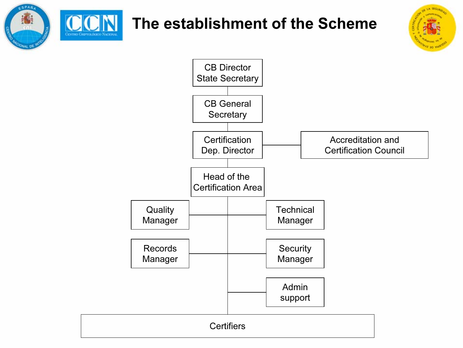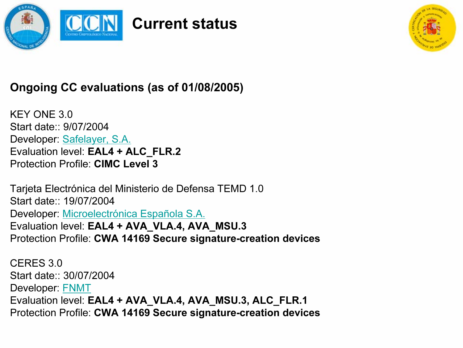



#### Ongoing CC evaluations (as of 01/08/2005)

KEY ONE 3.0Start date:: 9/07/2004 Developer: Safelayer, S.A. Evaluation level: EAL4 + ALC\_FLR.2 Protection Profile: CIMC Level 3

Tarjeta Electrónica del Ministerio de Defensa TEMD 1.0 Start date:: 19/07/2004 Developer: Microelectrónica Española S.A. Evaluation level: EAL4 + AVA\_VLA.4, AVA\_MSU.3 Protection Profile: CWA 14169 Secure signature-creation devices

CERES 3.0Start date:: 30/07/2004 Developer: FNMT Evaluation level: EAL4 + AVA\_VLA.4, AVA\_MSU.3, ALC\_FLR.1 Protection Profile: CWA 14169 Secure signature-creation devices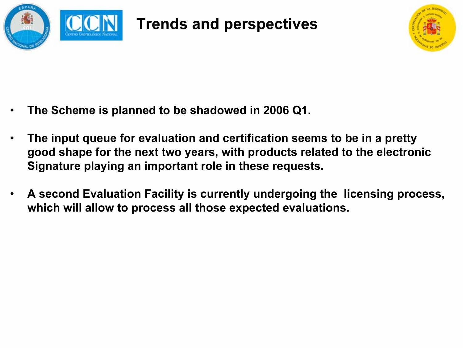

Trends and perspectives



- •The Scheme is planned to be shadowed in 2006 Q1.
- • The input queue for evaluation and certification seems to be in a pretty good shape for the next two years, with products related to the electronic Signature playing an important role in these requests.
- • A second Evaluation Facility is currently undergoing the licensing process, which will allow to process all those expected evaluations.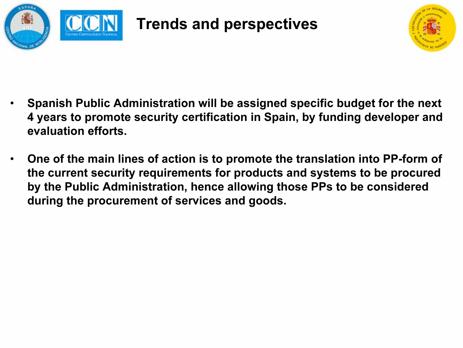

Trends and perspectives



- • Spanish Public Administration will be assigned specific budget for the next 4 years to promote security certification in Spain, by funding developer and evaluation efforts.
- • One of the main lines of action is to promote the translation into PP-form of the current security requirements for products and systems to be procured by the Public Administration, hence allowing those PPs to be considered during the procurement of services and goods.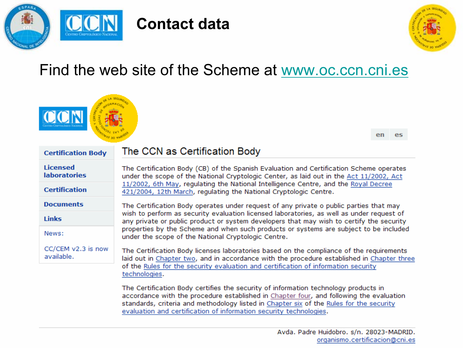

### Contact data



## Find the web site of the Scheme at www.oc.ccn.cni.es

| <b>Certification Body</b>              | The CCN as Certification Body                                                                                                                                                                                                                                                                                                                   | en | es |  |  |
|----------------------------------------|-------------------------------------------------------------------------------------------------------------------------------------------------------------------------------------------------------------------------------------------------------------------------------------------------------------------------------------------------|----|----|--|--|
| <b>Licensed</b><br><b>laboratories</b> | The Certification Body (CB) of the Spanish Evaluation and Certification Scheme operates<br>under the scope of the National Cryptologic Center, as laid out in the Act 11/2002, Act                                                                                                                                                              |    |    |  |  |
| <b>Certification</b>                   | 11/2002, 6th May, regulating the National Intelligence Centre, and the Royal Decree<br>421/2004, 12th March, regulating the National Cryptologic Centre.                                                                                                                                                                                        |    |    |  |  |
| <b>Documents</b>                       | The Certification Body operates under request of any private o public parties that may                                                                                                                                                                                                                                                          |    |    |  |  |
| <b>Links</b>                           | wish to perform as security evaluation licensed laboratories, as well as under request of<br>any private or public product or system developers that may wish to certify the security                                                                                                                                                           |    |    |  |  |
| News:                                  | properties by the Scheme and when such products or systems are subject to be included<br>under the scope of the National Cryptologic Centre.                                                                                                                                                                                                    |    |    |  |  |
| CC/CEM v2.3 is now<br>available.       | The Certification Body licenses laboratories based on the compliance of the requirements<br>laid out in Chapter two, and in accordance with the procedure established in Chapter three<br>of the Rules for the security evaluation and certification of information security<br>technologies.                                                   |    |    |  |  |
|                                        | The Certification Body certifies the security of information technology products in<br>accordance with the procedure established in Chapter four, and following the evaluation<br>standards, criteria and methodology listed in Chapter six of the Rules for the security<br>evaluation and certification of information security technologies. |    |    |  |  |